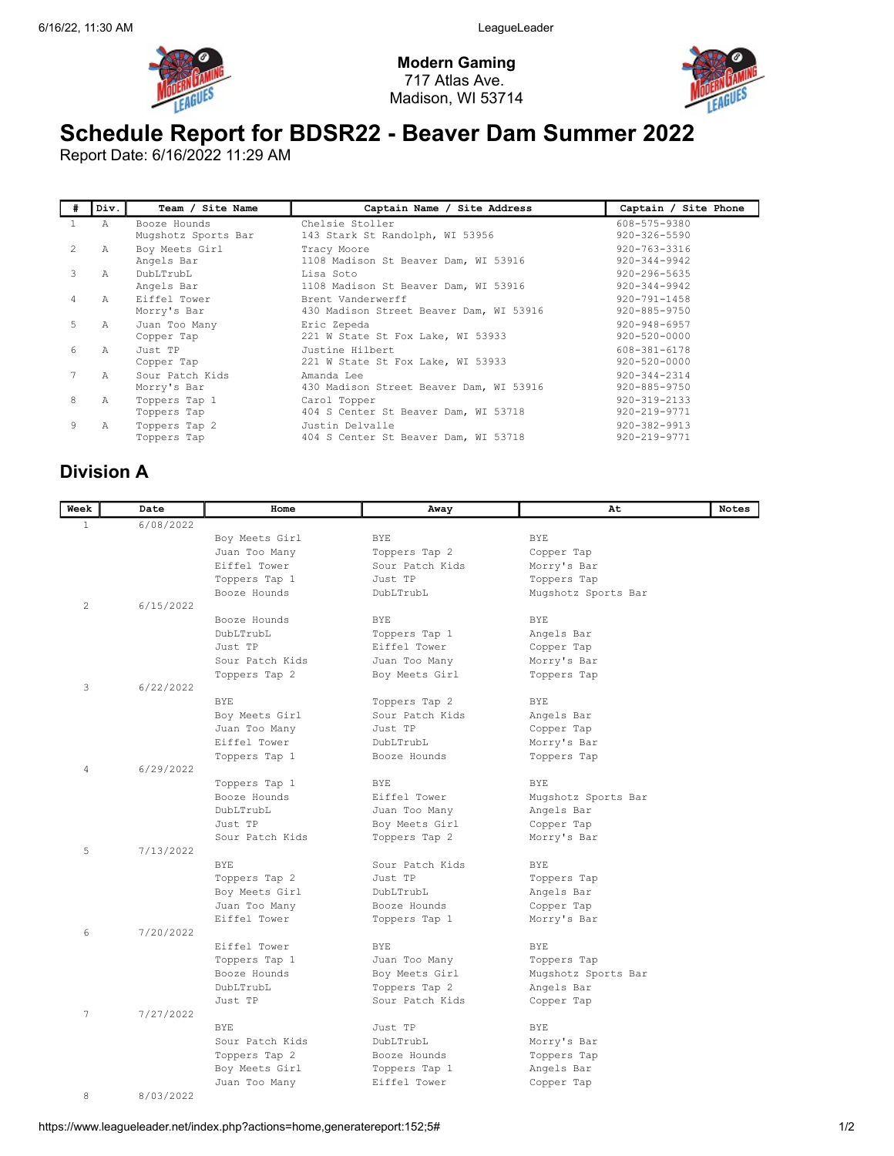

Modern Gaming 717 Atlas Ave. Madison, WI 53714



## Schedule Report for BDSR22 - Beaver Dam Summer 2022

Report Date: 6/16/2022 11:29 AM

| #              | Div.           | Team / Site Name                    | Captain Name / Site Address                                  | Captain / Site Phone                     |
|----------------|----------------|-------------------------------------|--------------------------------------------------------------|------------------------------------------|
|                | $\overline{A}$ | Booze Hounds<br>Mugshotz Sports Bar | Chelsie Stoller<br>143 Stark St Randolph, WI 53956           | 608-575-9380<br>$920 - 326 - 5590$       |
| 2              | Α              | Boy Meets Girl<br>Angels Bar        | Tracy Moore<br>1108 Madison St Beaver Dam, WI 53916          | 920-763-3316<br>$920 - 344 - 9942$       |
| 3              | Α              | DubLTrubL<br>Angels Bar             | Lisa Soto<br>1108 Madison St Beaver Dam, WI 53916            | $920 - 296 - 5635$<br>$920 - 344 - 9942$ |
| $\overline{4}$ | $\mathbb{A}$   | Eiffel Tower<br>Morry's Bar         | Brent Vanderwerff<br>430 Madison Street Beaver Dam, WI 53916 | $920 - 791 - 1458$<br>920-885-9750       |
| 5.             | Α              | Juan Too Many<br>Copper Tap         | Eric Zepeda<br>221 W State St Fox Lake, WI 53933             | $920 - 948 - 6957$<br>$920 - 520 - 0000$ |
| 6              | A              | Just TP<br>Copper Tap               | Justine Hilbert<br>221 W State St Fox Lake, WI 53933         | 608-381-6178<br>$920 - 520 - 0000$       |
|                | A              | Sour Patch Kids<br>Morry's Bar      | Amanda Lee<br>430 Madison Street Beaver Dam, WI 53916        | $920 - 344 - 2314$<br>920-885-9750       |
| 8              | Α              | Toppers Tap 1<br>Toppers Tap        | Carol Topper<br>404 S Center St Beaver Dam, WI 53718         | $920 - 319 - 2133$<br>920-219-9771       |
| 9              | Α              | Toppers Tap 2<br>Toppers Tap        | Justin Delvalle<br>404 S Center St Beaver Dam, WI 53718      | $920 - 382 - 9913$<br>920-219-9771       |

## Division A

| Week         | Date      | Home            | Away            | At                  | <b>Notes</b> |
|--------------|-----------|-----------------|-----------------|---------------------|--------------|
| $\mathbf{1}$ | 6/08/2022 |                 |                 |                     |              |
|              |           | Boy Meets Girl  | <b>BYE</b>      | <b>BYE</b>          |              |
|              |           | Juan Too Many   | Toppers Tap 2   | Copper Tap          |              |
|              |           | Eiffel Tower    | Sour Patch Kids | Morry's Bar         |              |
|              |           | Toppers Tap 1   | Just TP         | Toppers Tap         |              |
|              |           | Booze Hounds    | DubLTrubL       | Mugshotz Sports Bar |              |
| 2            | 6/15/2022 |                 |                 |                     |              |
|              |           | Booze Hounds    | <b>BYE</b>      | <b>BYE</b>          |              |
|              |           | DubLTrubL       | Toppers Tap 1   | Angels Bar          |              |
|              |           | Just TP         | Eiffel Tower    | Copper Tap          |              |
|              |           | Sour Patch Kids | Juan Too Many   | Morry's Bar         |              |
|              |           | Toppers Tap 2   | Boy Meets Girl  | Toppers Tap         |              |
| 3            | 6/22/2022 |                 |                 |                     |              |
|              |           | <b>BYE</b>      | Toppers Tap 2   | <b>BYE</b>          |              |
|              |           | Boy Meets Girl  | Sour Patch Kids | Angels Bar          |              |
|              |           | Juan Too Many   | Just TP         | Copper Tap          |              |
|              |           | Eiffel Tower    | DubLTrubL       | Morry's Bar         |              |
|              |           | Toppers Tap 1   | Booze Hounds    | Toppers Tap         |              |
| 4            | 6/29/2022 |                 |                 |                     |              |
|              |           | Toppers Tap 1   | <b>BYE</b>      | <b>BYE</b>          |              |
|              |           | Booze Hounds    | Eiffel Tower    | Mugshotz Sports Bar |              |
|              |           | DubLTrubL       | Juan Too Many   | Angels Bar          |              |
|              |           | Just TP         | Boy Meets Girl  | Copper Tap          |              |
|              |           | Sour Patch Kids | Toppers Tap 2   | Morry's Bar         |              |
| 5            | 7/13/2022 |                 |                 |                     |              |
|              |           | <b>BYE</b>      | Sour Patch Kids | <b>BYE</b>          |              |
|              |           | Toppers Tap 2   | Just TP         | Toppers Tap         |              |
|              |           | Boy Meets Girl  | DubLTrubL       | Angels Bar          |              |
|              |           | Juan Too Many   | Booze Hounds    | Copper Tap          |              |
|              |           | Eiffel Tower    | Toppers Tap 1   | Morry's Bar         |              |
| 6            | 7/20/2022 |                 |                 |                     |              |
|              |           | Eiffel Tower    | <b>BYE</b>      | <b>BYE</b>          |              |
|              |           | Toppers Tap 1   | Juan Too Many   | Toppers Tap         |              |
|              |           | Booze Hounds    | Boy Meets Girl  | Mugshotz Sports Bar |              |
|              |           | DubLTrubL       | Toppers Tap 2   | Angels Bar          |              |
|              |           | Just TP         | Sour Patch Kids | Copper Tap          |              |
| 7            | 7/27/2022 |                 |                 |                     |              |
|              |           | <b>BYE</b>      | Just TP         | <b>BYE</b>          |              |
|              |           | Sour Patch Kids | DubLTrubL       | Morry's Bar         |              |
|              |           | Toppers Tap 2   | Booze Hounds    | Toppers Tap         |              |
|              |           | Boy Meets Girl  | Toppers Tap 1   | Angels Bar          |              |
|              |           | Juan Too Many   | Eiffel Tower    | Copper Tap          |              |
| 8            | 8/03/2022 |                 |                 |                     |              |